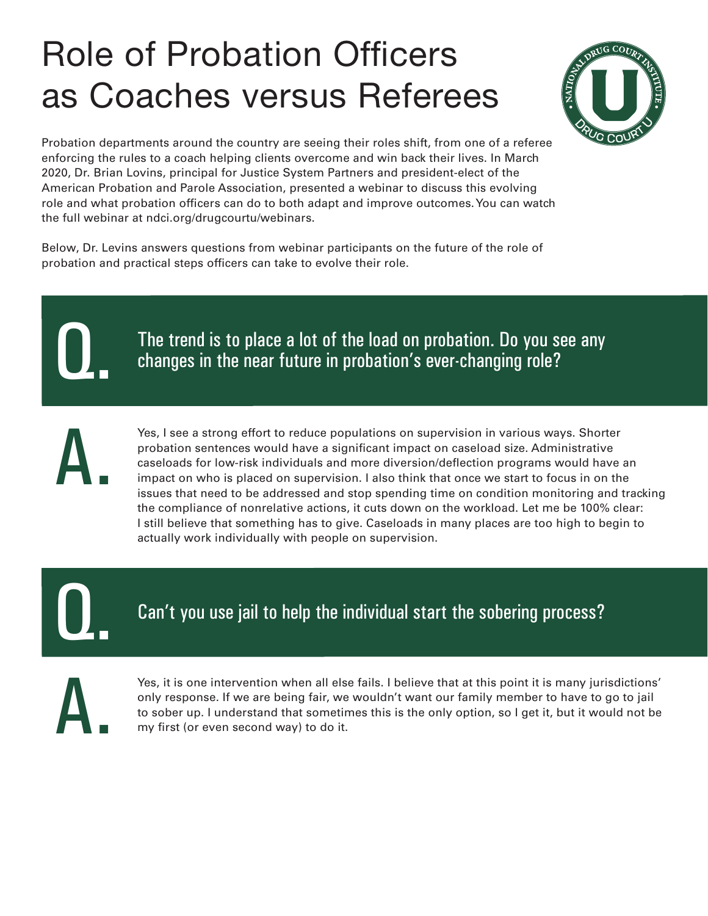## Role of Probation Officers as Coaches versus Referees



Probation departments around the country are seeing their roles shift, from one of a referee enforcing the rules to a coach helping clients overcome and win back their lives. In March 2020, Dr. Brian Lovins, principal for Justice System Partners and president-elect of the American Probation and Parole Association, presented a webinar to discuss this evolving role and what probation officers can do to both adapt and improve outcomes. You can watch the full webinar at [ndci.org/drugcourtu/webinars](https://www.ndci.org/drugcourtu/webinars/).

Below, Dr. Levins answers questions from webinar participants on the future of the role of probation and practical steps officers can take to evolve their role.

Q.

The trend is to place a lot of the load on probation. Do you see any changes in the near future in probation's ever-changing role?

A.

Yes, I see a strong effort to reduce populations on supervision in various ways. Shorter probation sentences would have a significant impact on caseload size. Administrative caseloads for low-risk individuals and more diversion/deflection programs would have an impact on who is placed on supervision. I also think that once we start to focus in on the issues that need to be addressed and stop spending time on condition monitoring and tracking the compliance of nonrelative actions, it cuts down on the workload. Let me be 100% clear: I still believe that something has to give. Caseloads in many places are too high to begin to actually work individually with people on supervision.

Q.

Can't you use jail to help the individual start the sobering process?

A.

Yes, it is one intervention when all else fails. I believe that at this point it is many jurisdictions' only response. If we are being fair, we wouldn't want our family member to have to go to jail to sober up. I understand that sometimes this is the only option, so I get it, but it would not be my first (or even second way) to do it.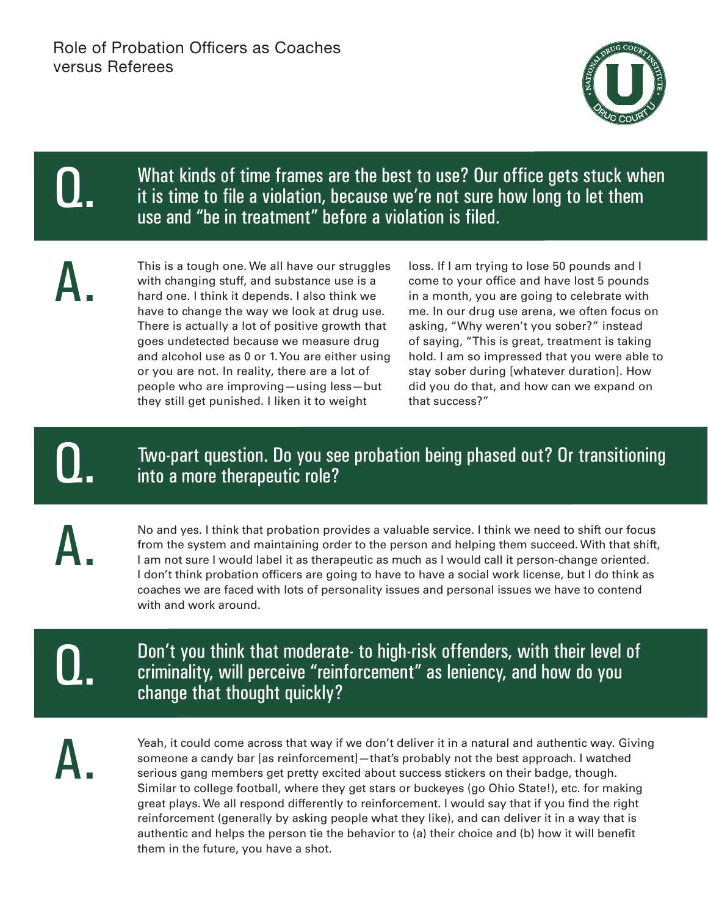

What kinds of time frames are the best to use? Our office gets stuck when it is time to file a violation, because we're not sure how long to let them use and "be in treatment" before a violation is filed.

A.

Q.

A.

This is a tough one. We all have our struggles with changing stuff, and substance use is a hard one. I think it depends. I also think we have to change the way we look at drug use. There is actually a lot of positive growth that goes undetected because we measure drug and alcohol use as 0 or 1. You are either using or you are not. In reality, there are a lot of people who are improving—using less—but they still get punished. I liken it to weight

loss. If I am trying to lose 50 pounds and I come to your office and have lost 5 pounds in a month, you are going to celebrate with me. In our drug use arena, we often focus on asking, "Why weren't you sober?" instead of saying, "This is great, treatment is taking hold. I am so impressed that you were able to stay sober during [whatever duration]. How did you do that, and how can we expand on that success?"

### Two-part question. Do you see probation being phased out? Or transitioning into a more therapeutic role?

No and yes. I think that probation provides a valuable service. I think we need to shift our focus from the system and maintaining order to the person and helping them succeed. With that shift, I am not sure I would label it as therapeutic as much as I would call it person-change oriented. I don't think probation officers are going to have to have a social work license, but I do think as coaches we are faced with lots of personality issues and personal issues we have to contend with and work around.

Q.

Don't you think that moderate- to high-risk offenders, with their level of criminality, will perceive "reinforcement" as leniency, and how do you change that thought quickly?

A.

Yeah, it could come across that way if we don't deliver it in a natural and authentic way. Giving someone a candy bar [as reinforcement]—that's probably not the best approach. I watched serious gang members get pretty excited about success stickers on their badge, though. Similar to college football, where they get stars or buckeyes (go Ohio State!), etc. for making great plays. We all respond differently to reinforcement. I would say that if you find the right reinforcement (generally by asking people what they like), and can deliver it in a way that is authentic and helps the person tie the behavior to (a) their choice and (b) how it will benefit them in the future, you have a shot.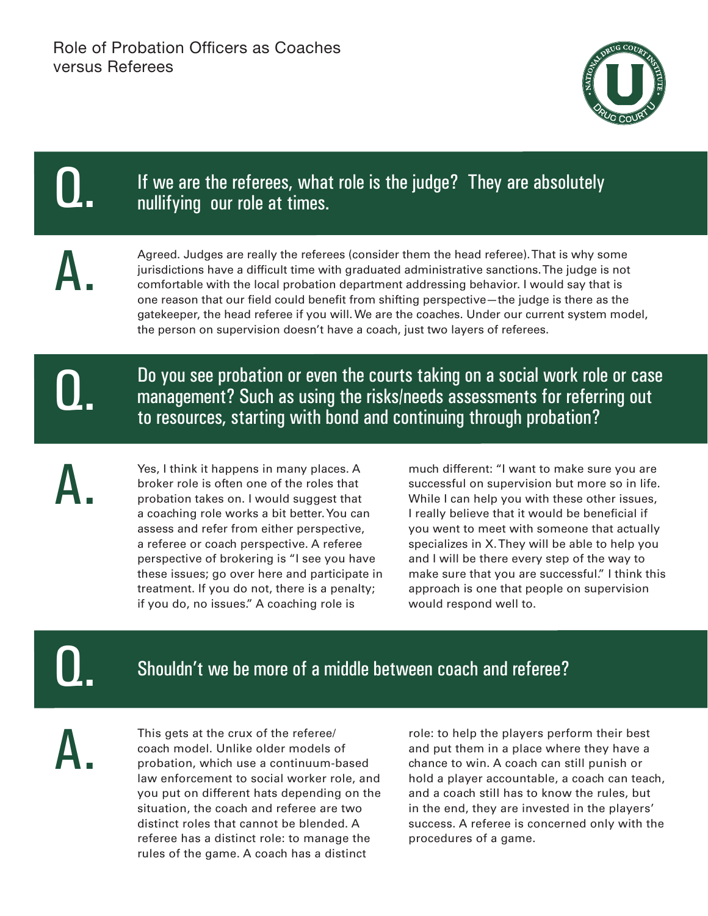

#### If we are the referees, what role is the judge? They are absolutely nullifying our role at times. Agreed. Judges are really the referees (consider them the head referee). That is why some jurisdictions have a difficult time with graduated administrative sanctions. The judge is not comfortable with the local probation department addressing behavior. I would say that is one reason that our field could benefit from shifting perspective—the judge is there as the gatekeeper, the head referee if you will. We are the coaches. Under our current system model, the person on supervision doesn't have a coach, just two layers of referees. Q. A.



A.

Do you see probation or even the courts taking on a social work role or case management? Such as using the risks/needs assessments for referring out to resources, starting with bond and continuing through probation?

Yes, I think it happens in many places. A broker role is often one of the roles that probation takes on. I would suggest that a coaching role works a bit better. You can assess and refer from either perspective, a referee or coach perspective. A referee perspective of brokering is "I see you have these issues; go over here and participate in treatment. If you do not, there is a penalty; if you do, no issues." A coaching role is

much different: "I want to make sure you are successful on supervision but more so in life. While I can help you with these other issues, I really believe that it would be beneficial if you went to meet with someone that actually specializes in X. They will be able to help you and I will be there every step of the way to make sure that you are successful." I think this approach is one that people on supervision would respond well to.

Q.

A.

### Shouldn't we be more of a middle between coach and referee?

This gets at the crux of the referee/ coach model. Unlike older models of probation, which use a continuum-based law enforcement to social worker role, and you put on different hats depending on the situation, the coach and referee are two distinct roles that cannot be blended. A referee has a distinct role: to manage the rules of the game. A coach has a distinct

role: to help the players perform their best and put them in a place where they have a chance to win. A coach can still punish or hold a player accountable, a coach can teach, and a coach still has to know the rules, but in the end, they are invested in the players' success. A referee is concerned only with the procedures of a game.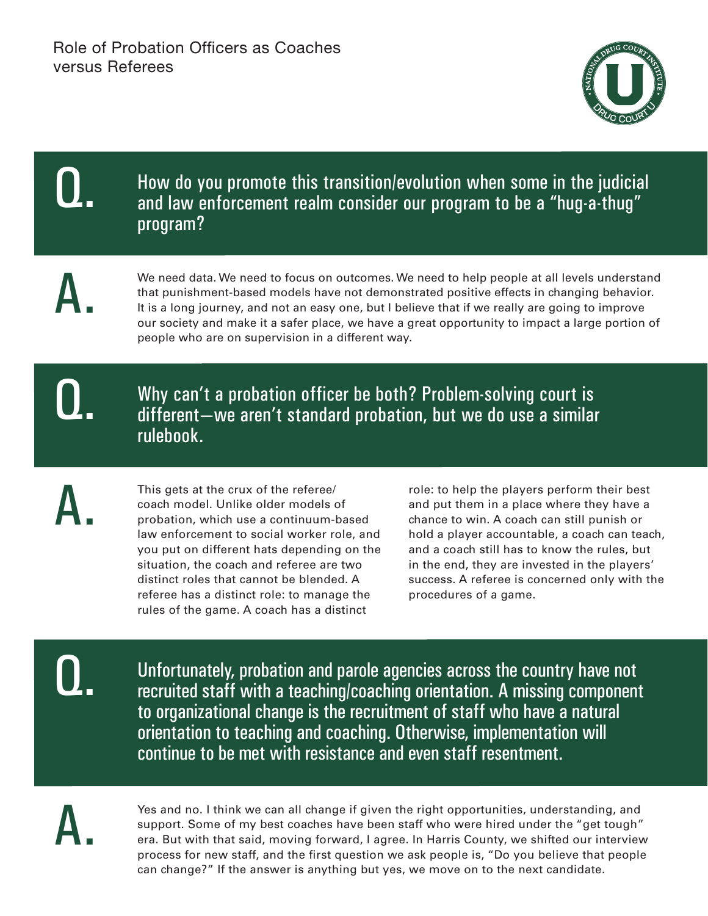

#### How do you promote this transition/evolution when some in the judicial and law enforcement realm consider our program to be a "hug-a-thug" program?

A.

We need data. We need to focus on outcomes. We need to help people at all levels understand that punishment-based models have not demonstrated positive effects in changing behavior. It is a long journey, and not an easy one, but I believe that if we really are going to improve our society and make it a safer place, we have a great opportunity to impact a large portion of people who are on supervision in a different way.

# Q.

A.

Why can't a probation officer be both? Problem-solving court is different—we aren't standard probation, but we do use a similar rulebook.

This gets at the crux of the referee/ coach model. Unlike older models of probation, which use a continuum-based law enforcement to social worker role, and you put on different hats depending on the situation, the coach and referee are two distinct roles that cannot be blended. A referee has a distinct role: to manage the rules of the game. A coach has a distinct

role: to help the players perform their best and put them in a place where they have a chance to win. A coach can still punish or hold a player accountable, a coach can teach, and a coach still has to know the rules, but in the end, they are invested in the players' success. A referee is concerned only with the procedures of a game.

Q.

Unfortunately, probation and parole agencies across the country have not recruited staff with a teaching/coaching orientation. A missing component to organizational change is the recruitment of staff who have a natural orientation to teaching and coaching. Otherwise, implementation will continue to be met with resistance and even staff resentment.



Yes and no. I think we can all change if given the right opportunities, understanding, and support. Some of my best coaches have been staff who were hired under the "get tough" era. But with that said, moving forward, I agree. In Harris County, we shifted our interview process for new staff, and the first question we ask people is, "Do you believe that people can change?" If the answer is anything but yes, we move on to the next candidate.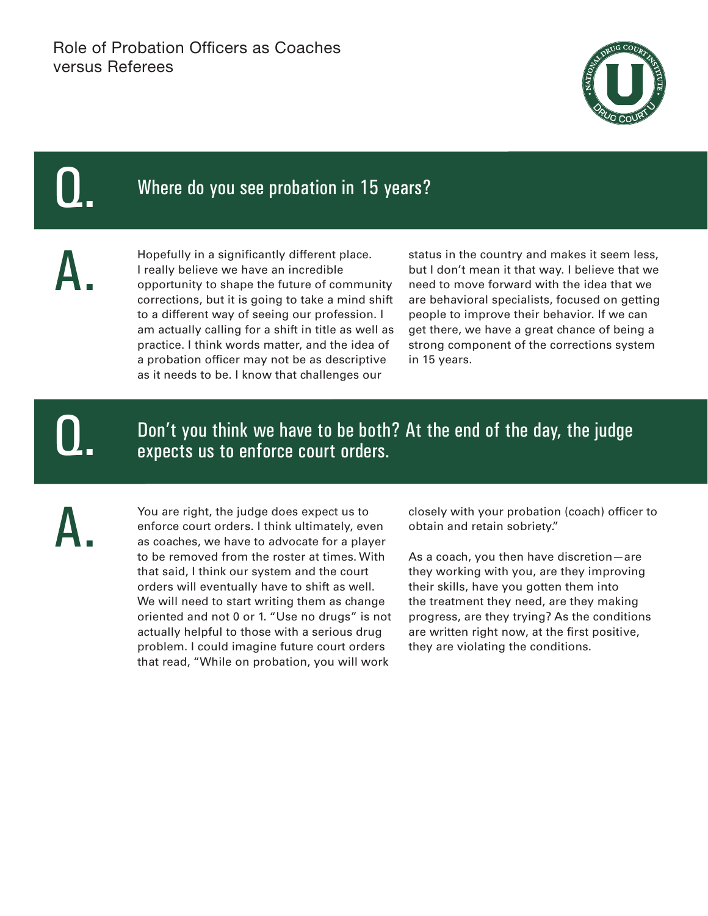

### Where do you see probation in 15 years?

A.

Hopefully in a significantly different place. I really believe we have an incredible opportunity to shape the future of community corrections, but it is going to take a mind shift to a different way of seeing our profession. I am actually calling for a shift in title as well as practice. I think words matter, and the idea of a probation officer may not be as descriptive as it needs to be. I know that challenges our

status in the country and makes it seem less, but I don't mean it that way. I believe that we need to move forward with the idea that we are behavioral specialists, focused on getting people to improve their behavior. If we can get there, we have a great chance of being a strong component of the corrections system in 15 years.

Q.

Don't you think we have to be both? At the end of the day, the judge expects us to enforce court orders.

A.

You are right, the judge does expect us to enforce court orders. I think ultimately, even as coaches, we have to advocate for a player to be removed from the roster at times. With that said, I think our system and the court orders will eventually have to shift as well. We will need to start writing them as change oriented and not 0 or 1. "Use no drugs" is not actually helpful to those with a serious drug problem. I could imagine future court orders that read, "While on probation, you will work

closely with your probation (coach) officer to obtain and retain sobriety."

As a coach, you then have discretion—are they working with you, are they improving their skills, have you gotten them into the treatment they need, are they making progress, are they trying? As the conditions are written right now, at the first positive, they are violating the conditions.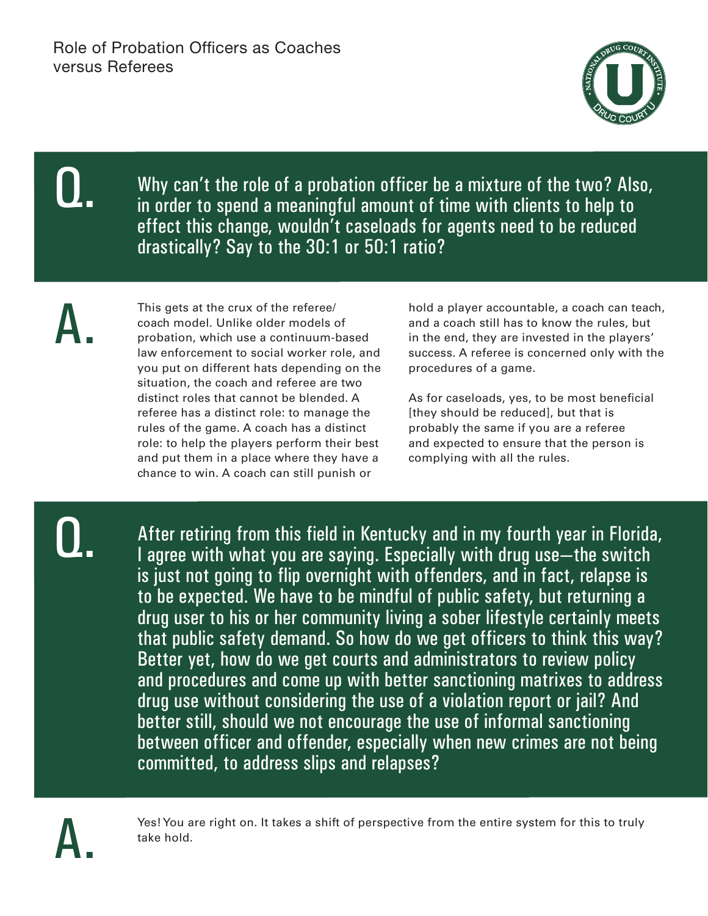

Why can't the role of a probation officer be a mixture of the two? Also, in order to spend a meaningful amount of time with clients to help to effect this change, wouldn't caseloads for agents need to be reduced drastically? Say to the 30:1 or 50:1 ratio?

A.

This gets at the crux of the referee/ coach model. Unlike older models of probation, which use a continuum-based law enforcement to social worker role, and you put on different hats depending on the situation, the coach and referee are two distinct roles that cannot be blended. A referee has a distinct role: to manage the rules of the game. A coach has a distinct role: to help the players perform their best and put them in a place where they have a chance to win. A coach can still punish or

hold a player accountable, a coach can teach, and a coach still has to know the rules, but in the end, they are invested in the players' success. A referee is concerned only with the procedures of a game.

As for caseloads, yes, to be most beneficial [they should be reduced], but that is probably the same if you are a referee and expected to ensure that the person is complying with all the rules.

Q.

After retiring from this field in Kentucky and in my fourth year in Florida, I agree with what you are saying. Especially with drug use—the switch is just not going to flip overnight with offenders, and in fact, relapse is to be expected. We have to be mindful of public safety, but returning a drug user to his or her community living a sober lifestyle certainly meets that public safety demand. So how do we get officers to think this way? Better yet, how do we get courts and administrators to review policy and procedures and come up with better sanctioning matrixes to address drug use without considering the use of a violation report or jail? And better still, should we not encourage the use of informal sanctioning between officer and offender, especially when new crimes are not being committed, to address slips and relapses?



Yes! You are right on. It takes a shift of perspective from the entire system for this to truly take hold.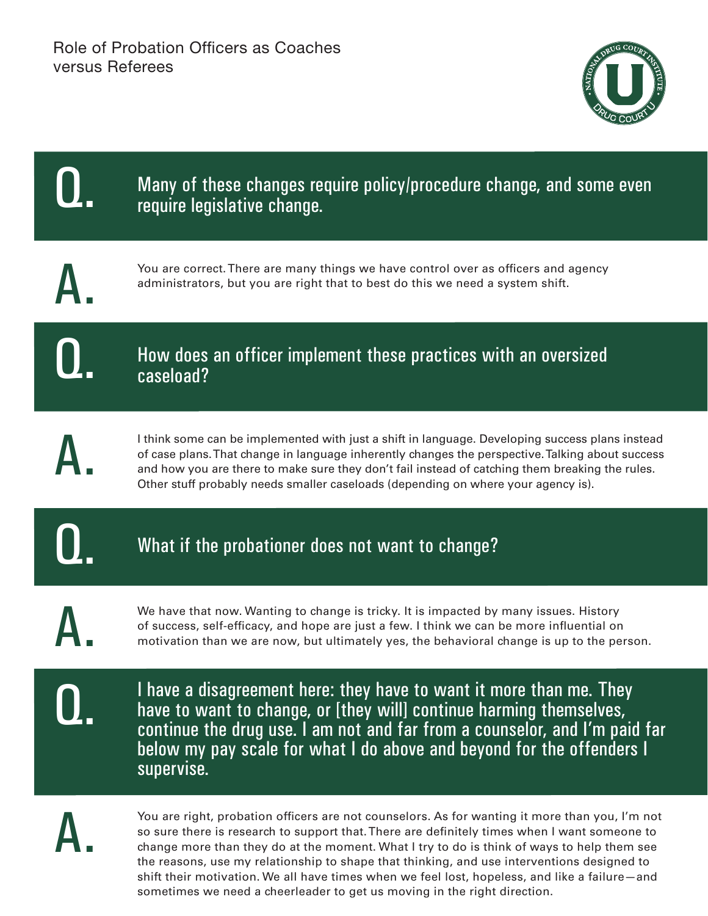

| Many of these changes require policy/procedure change, and some even<br>require legislative change.                                                                                                                                                                                                                                                                                         |
|---------------------------------------------------------------------------------------------------------------------------------------------------------------------------------------------------------------------------------------------------------------------------------------------------------------------------------------------------------------------------------------------|
| You are correct. There are many things we have control over as officers and agency<br>administrators, but you are right that to best do this we need a system shift.                                                                                                                                                                                                                        |
| How does an officer implement these practices with an oversized<br>caseload?                                                                                                                                                                                                                                                                                                                |
| I think some can be implemented with just a shift in language. Developing success plans instead<br>of case plans. That change in language inherently changes the perspective. Talking about success<br>and how you are there to make sure they don't fail instead of catching them breaking the rules.<br>Other stuff probably needs smaller caseloads (depending on where your agency is). |
| What if the probationer does not want to change?                                                                                                                                                                                                                                                                                                                                            |
| We have that now. Wanting to change is tricky. It is impacted by many issues. History<br>of success, self-efficacy, and hope are just a few. I think we can be more influential on<br>motivation than we are now, but ultimately yes, the behavioral change is up to the person.                                                                                                            |
| I have a disagreement here: they have to want it more than me. They<br>have to want to change, or [they will] continue harming themselves,<br>continue the drug use. I am not and far from a counselor, and I'm paid far<br>below my pay scale for what I do above and beyond for the offenders I<br>supervise.                                                                             |
| You are right, probation officers are not counselors. As for wanting it more than you, I'm not<br>so sure there is research to support that. There are definitely times when I want someone to<br>change more than they do at the moment. What I try to do is think of ways to help them see<br>the reasons use my relationship to shape that thinking and use interventions designed to    |

You are right, probation officers are not counselors. As for wanting it more than you, I'm not so sure there is research to support that. There are definitely times when I want someone to change more than they do at the moment. What I try to do is think of ways to help them see the reasons, use my relationship to shape that thinking, and use interventions designed to shift their motivation. We all have times when we feel lost, hopeless, and like a failure—and sometimes we need a cheerleader to get us moving in the right direction.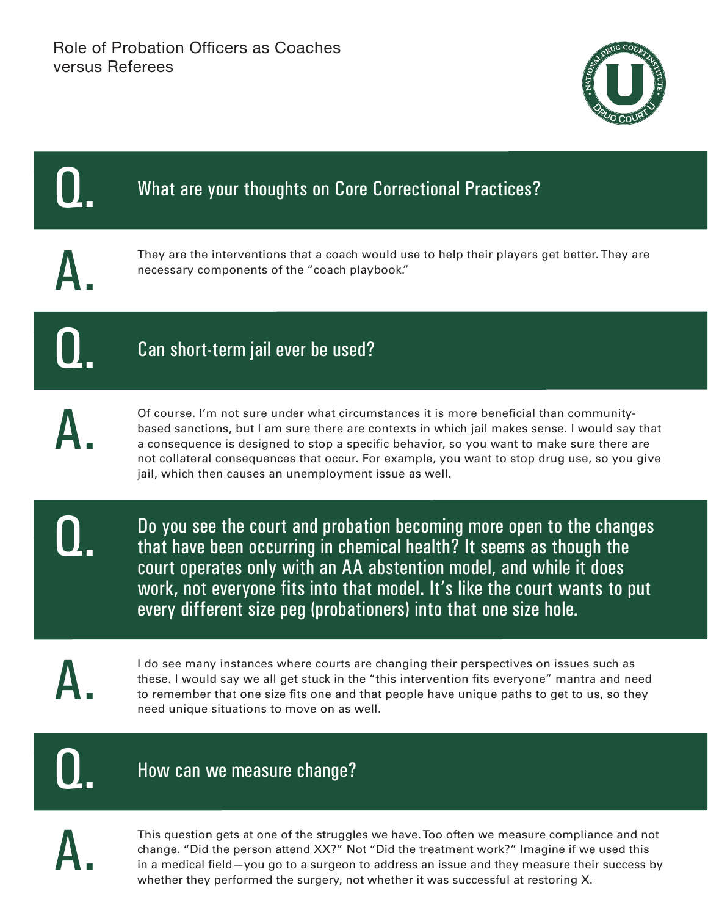



in a medical field—you go to a surgeon to address an issue and they measure their success by whether they performed the surgery, not whether it was successful at restoring X.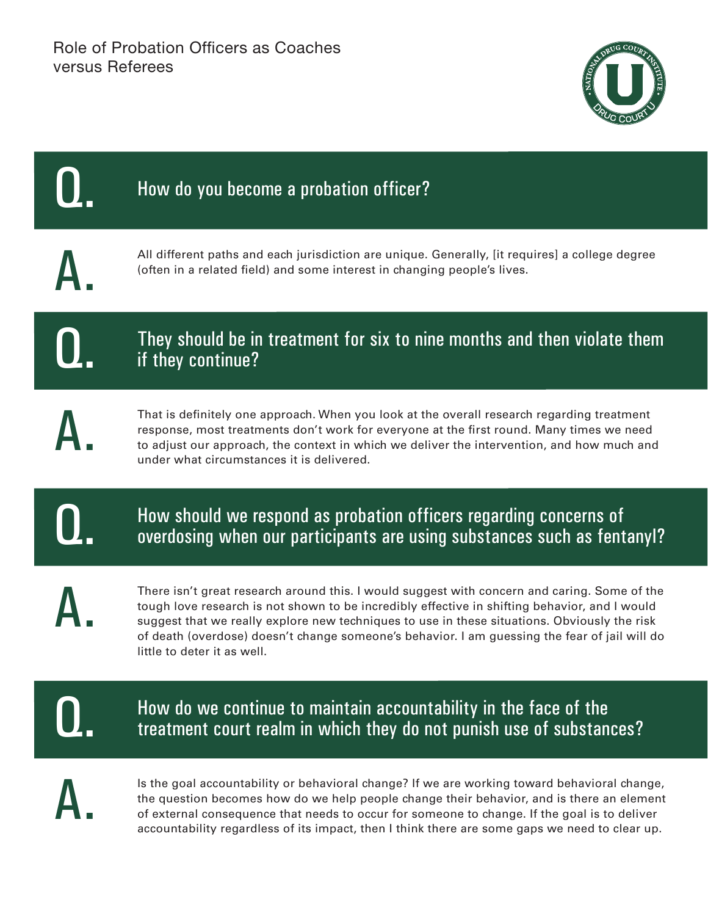